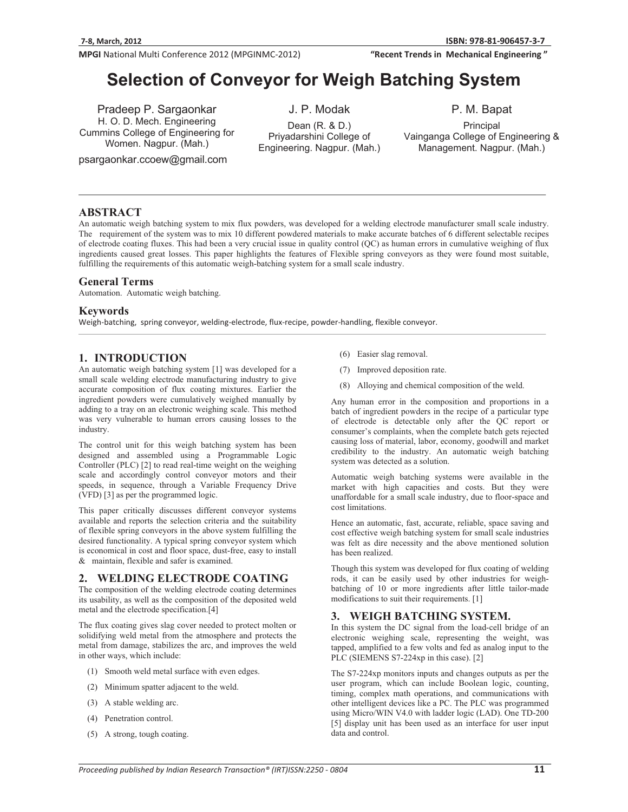"Recent Trends in Mechanical Engineering"

# **Selection of Conveyor for Weigh Batching System**

Pradeep P. Sargaonkar H. O. D. Mech. Engineering Cummins College of Engineering for Women. Nagpur. (Mah.)

psargaonkar.ccoew@gmail.com

J. P. Modak Dean (R. & D.)

Priyadarshini College of Engineering. Nagpur. (Mah.) P. M. Bapat

Principal Vainganga College of Engineering & Management. Nagpur. (Mah.)

# **ABSTRACT**

An automatic weigh batching system to mix flux powders, was developed for a welding electrode manufacturer small scale industry. The requirement of the system was to mix 10 different powdered materials to make accurate batches of 6 different selectable recipes of electrode coating fluxes. This had been a very crucial issue in quality control (QC) as human errors in cumulative weighing of flux ingredients caused great losses. This paper highlights the features of Flexible spring conveyors as they were found most suitable, fulfilling the requirements of this automatic weigh-batching system for a small scale industry.

## **General Terms**

Automation. Automatic weigh batching.

## **Keywords**

Weigh-batching, spring conveyor, welding-electrode, flux-recipe, powder-handling, flexible conveyor.

# **1. INTRODUCTION**

An automatic weigh batching system [1] was developed for a small scale welding electrode manufacturing industry to give accurate composition of flux coating mixtures. Earlier the ingredient powders were cumulatively weighed manually by adding to a tray on an electronic weighing scale. This method was very vulnerable to human errors causing losses to the industry.

The control unit for this weigh batching system has been designed and assembled using a Programmable Logic Controller (PLC) [2] to read real-time weight on the weighing scale and accordingly control conveyor motors and their speeds, in sequence, through a Variable Frequency Drive (VFD) [3] as per the programmed logic.

This paper critically discusses different conveyor systems available and reports the selection criteria and the suitability of flexible spring conveyors in the above system fulfilling the desired functionality. A typical spring conveyor system which is economical in cost and floor space, dust-free, easy to install  $&$  maintain, flexible and safer is examined.

# **2. WELDING ELECTRODE COATING**

The composition of the welding electrode coating determines its usability, as well as the composition of the deposited weld metal and the electrode specification.[4]

The flux coating gives slag cover needed to protect molten or solidifying weld metal from the atmosphere and protects the metal from damage, stabilizes the arc, and improves the weld in other ways, which include:

- (1) Smooth weld metal surface with even edges.
- (2) Minimum spatter adjacent to the weld.
- (3) A stable welding arc.
- (4) Penetration control.
- (5) A strong, tough coating.
- (6) Easier slag removal.
- (7) Improved deposition rate.
- (8) Alloying and chemical composition of the weld.

Any human error in the composition and proportions in a batch of ingredient powders in the recipe of a particular type of electrode is detectable only after the QC report or consumer's complaints, when the complete batch gets rejected causing loss of material, labor, economy, goodwill and market credibility to the industry. An automatic weigh batching system was detected as a solution.

Automatic weigh batching systems were available in the market with high capacities and costs. But they were unaffordable for a small scale industry, due to floor-space and cost limitations.

Hence an automatic, fast, accurate, reliable, space saving and cost effective weigh batching system for small scale industries was felt as dire necessity and the above mentioned solution has been realized.

Though this system was developed for flux coating of welding rods, it can be easily used by other industries for weighbatching of 10 or more ingredients after little tailor-made modifications to suit their requirements. [1]

## **3. WEIGH BATCHING SYSTEM.**

In this system the DC signal from the load-cell bridge of an electronic weighing scale, representing the weight, was tapped, amplified to a few volts and fed as analog input to the PLC (SIEMENS S7-224xp in this case). [2]

The S7-224xp monitors inputs and changes outputs as per the user program, which can include Boolean logic, counting, timing, complex math operations, and communications with other intelligent devices like a PC. The PLC was programmed using Micro/WIN V4.0 with ladder logic (LAD). One TD-200 [5] display unit has been used as an interface for user input data and control.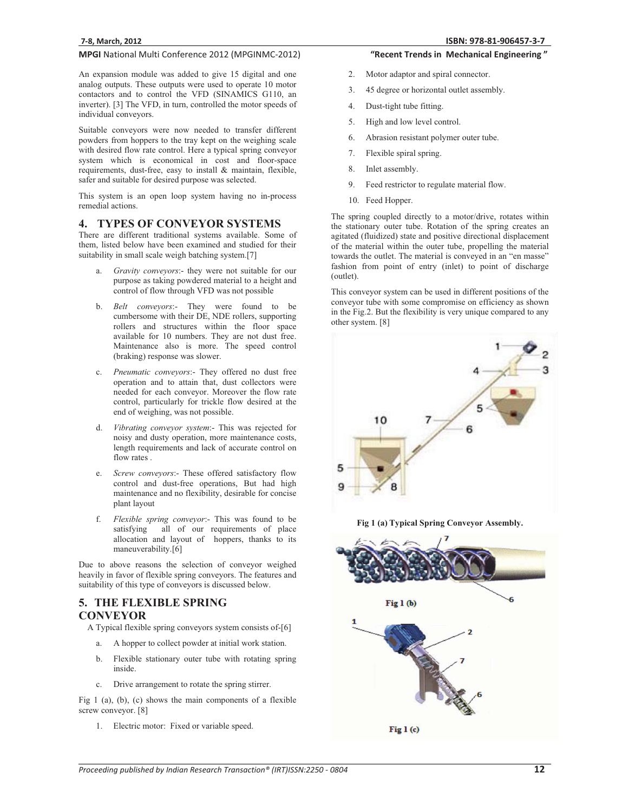An expansion module was added to give 15 digital and one analog outputs. These outputs were used to operate 10 motor contactors and to control the VFD (SINAMICS G110, an inverter). [3] The VFD, in turn, controlled the motor speeds of individual conveyors.

Suitable conveyors were now needed to transfer different powders from hoppers to the tray kept on the weighing scale with desired flow rate control. Here a typical spring conveyor system which is economical in cost and floor-space requirements, dust-free, easy to install & maintain, flexible, safer and suitable for desired purpose was selected.

This system is an open loop system having no in-process remedial actions.

#### **4. TYPES OF CONVEYOR SYSTEMS**

There are different traditional systems available. Some of them, listed below have been examined and studied for their suitability in small scale weigh batching system.[7]

- a. *Gravity conveyors*:- they were not suitable for our purpose as taking powdered material to a height and control of flow through VFD was not possible
- b. *Belt conveyors*:- They were found to be cumbersome with their DE, NDE rollers, supporting rollers and structures within the floor space available for 10 numbers. They are not dust free. Maintenance also is more. The speed control (braking) response was slower.
- c. *Pneumatic conveyors*:- They offered no dust free operation and to attain that, dust collectors were needed for each conveyor. Moreover the flow rate control, particularly for trickle flow desired at the end of weighing, was not possible.
- Vibrating conveyor system:- This was rejected for noisy and dusty operation, more maintenance costs, length requirements and lack of accurate control on flow rates .
- e. *Screw conveyors*:- These offered satisfactory flow control and dust-free operations, But had high maintenance and no flexibility, desirable for concise plant layout
- f. *Flexible spring conveyor*:- This was found to be satisfying all of our requirements of place allocation and layout of hoppers, thanks to its maneuverability.[6]

Due to above reasons the selection of conveyor weighed heavily in favor of flexible spring conveyors. The features and suitability of this type of conveyors is discussed below.

## **5. THE FLEXIBLE SPRING CONVEYOR**

A Typical flexible spring conveyors system consists of-[6]

- a. A hopper to collect powder at initial work station.
- b. Flexible stationary outer tube with rotating spring inside.
- c. Drive arrangement to rotate the spring stirrer.

Fig 1 (a), (b), (c) shows the main components of a flexible screw conveyor. [8]

1. Electric motor: Fixed or variable speed.

#### "Recent Trends in Mechanical Engineering"

- 2. Motor adaptor and spiral connector.
- 3. 45 degree or horizontal outlet assembly.
- 4. Dust-tight tube fitting.
- 5. High and low level control.
- 6. Abrasion resistant polymer outer tube.
- 7. Flexible spiral spring.
- 8. Inlet assembly.
- 9. Feed restrictor to regulate material flow.
- 10. Feed Hopper.

The spring coupled directly to a motor/drive, rotates within the stationary outer tube. Rotation of the spring creates an agitated (fluidized) state and positive directional displacement of the material within the outer tube, propelling the material towards the outlet. The material is conveyed in an "en masse" fashion from point of entry (inlet) to point of discharge (outlet).

This conveyor system can be used in different positions of the conveyor tube with some compromise on efficiency as shown in the Fig.2. But the flexibility is very unique compared to any other system. [8]



**Fig 1 (a) Typical Spring Conveyor Assembly.** 

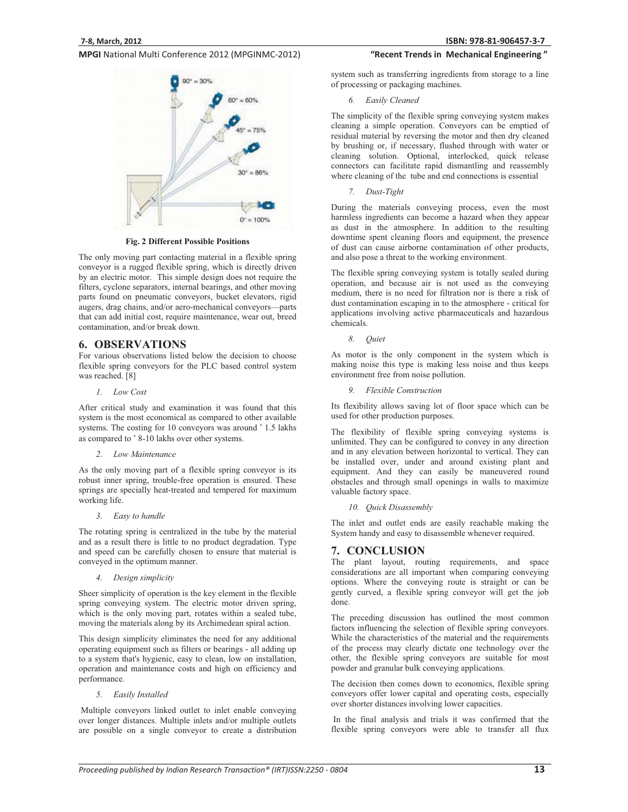

**Fig. 2 Different Possible Positions** 

The only moving part contacting material in a flexible spring conveyor is a rugged flexible spring, which is directly driven by an electric motor. This simple design does not require the filters, cyclone separators, internal bearings, and other moving parts found on pneumatic conveyors, bucket elevators, rigid augers, drag chains, and/or aero-mechanical conveyors—parts that can add initial cost, require maintenance, wear out, breed contamination, and/or break down.

## **6. OBSERVATIONS**

For various observations listed below the decision to choose flexible spring conveyors for the PLC based control system was reached. [8]

*1. Low Cost* 

After critical study and examination it was found that this system is the most economical as compared to other available systems. The costing for 10 conveyors was around **`** 1.5 lakhs as compared to **`** 8-10 lakhs over other systems.

*2. Low Maintenance* 

As the only moving part of a flexible spring conveyor is its robust inner spring, trouble-free operation is ensured. These springs are specially heat-treated and tempered for maximum working life.

*3. Easy to handle* 

The rotating spring is centralized in the tube by the material and as a result there is little to no product degradation. Type and speed can be carefully chosen to ensure that material is conveyed in the optimum manner.

*4. Design simplicity* 

Sheer simplicity of operation is the key element in the flexible spring conveying system. The electric motor driven spring, which is the only moving part, rotates within a sealed tube, moving the materials along by its Archimedean spiral action.

This design simplicity eliminates the need for any additional operating equipment such as filters or bearings - all adding up to a system that's hygienic, easy to clean, low on installation, operation and maintenance costs and high on efficiency and performance.

#### *5. Easily Installed*

 Multiple conveyors linked outlet to inlet enable conveying over longer distances. Multiple inlets and/or multiple outlets are possible on a single conveyor to create a distribution

#### "Recent Trends in Mechanical Engineering"

system such as transferring ingredients from storage to a line of processing or packaging machines.

*6. Easily Cleaned* 

The simplicity of the flexible spring conveying system makes cleaning a simple operation. Conveyors can be emptied of residual material by reversing the motor and then dry cleaned by brushing or, if necessary, flushed through with water or cleaning solution. Optional, interlocked, quick release connectors can facilitate rapid dismantling and reassembly where cleaning of the tube and end connections is essential

*7. Dust-Tight* 

During the materials conveying process, even the most harmless ingredients can become a hazard when they appear as dust in the atmosphere. In addition to the resulting downtime spent cleaning floors and equipment, the presence of dust can cause airborne contamination of other products, and also pose a threat to the working environment.

The flexible spring conveying system is totally sealed during operation, and because air is not used as the conveying medium, there is no need for filtration nor is there a risk of dust contamination escaping in to the atmosphere - critical for applications involving active pharmaceuticals and hazardous chemicals.

*8. Quiet*

As motor is the only component in the system which is making noise this type is making less noise and thus keeps environment free from noise pollution.

*9. Flexible Construction* 

Its flexibility allows saving lot of floor space which can be used for other production purposes.

The flexibility of flexible spring conveying systems is unlimited. They can be configured to convey in any direction and in any elevation between horizontal to vertical. They can be installed over, under and around existing plant and equipment. And they can easily be maneuvered round obstacles and through small openings in walls to maximize valuable factory space.

*10. Quick Disassembly* 

The inlet and outlet ends are easily reachable making the System handy and easy to disassemble whenever required.

# **7. CONCLUSION**

The plant layout, routing requirements, and space considerations are all important when comparing conveying options. Where the conveying route is straight or can be gently curved, a flexible spring conveyor will get the job done.

The preceding discussion has outlined the most common factors influencing the selection of flexible spring conveyors. While the characteristics of the material and the requirements of the process may clearly dictate one technology over the other, the flexible spring conveyors are suitable for most powder and granular bulk conveying applications.

The decision then comes down to economics, flexible spring conveyors offer lower capital and operating costs, especially over shorter distances involving lower capacities.

 In the final analysis and trials it was confirmed that the flexible spring conveyors were able to transfer all flux